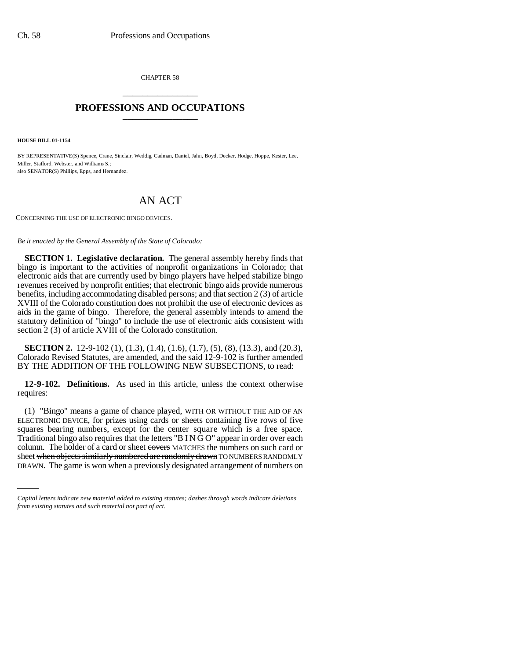CHAPTER 58 \_\_\_\_\_\_\_\_\_\_\_\_\_\_\_

## **PROFESSIONS AND OCCUPATIONS** \_\_\_\_\_\_\_\_\_\_\_\_\_\_\_

**HOUSE BILL 01-1154**

BY REPRESENTATIVE(S) Spence, Crane, Sinclair, Weddig, Cadman, Daniel, Jahn, Boyd, Decker, Hodge, Hoppe, Kester, Lee, Miller, Stafford, Webster, and Williams S.; also SENATOR(S) Phillips, Epps, and Hernandez.

## AN ACT

CONCERNING THE USE OF ELECTRONIC BINGO DEVICES.

*Be it enacted by the General Assembly of the State of Colorado:*

**SECTION 1. Legislative declaration.** The general assembly hereby finds that bingo is important to the activities of nonprofit organizations in Colorado; that electronic aids that are currently used by bingo players have helped stabilize bingo revenues received by nonprofit entities; that electronic bingo aids provide numerous benefits, including accommodating disabled persons; and that section 2 (3) of article XVIII of the Colorado constitution does not prohibit the use of electronic devices as aids in the game of bingo. Therefore, the general assembly intends to amend the statutory definition of "bingo" to include the use of electronic aids consistent with section 2 (3) of article XVIII of the Colorado constitution.

**SECTION 2.** 12-9-102 (1), (1.3), (1.4), (1.6), (1.7), (5), (8), (13.3), and (20.3), Colorado Revised Statutes, are amended, and the said 12-9-102 is further amended BY THE ADDITION OF THE FOLLOWING NEW SUBSECTIONS, to read:

**12-9-102. Definitions.** As used in this article, unless the context otherwise requires:

column. The holder of a card or sheet eovers MATCHES the numbers on such card or (1) "Bingo" means a game of chance played, WITH OR WITHOUT THE AID OF AN ELECTRONIC DEVICE, for prizes using cards or sheets containing five rows of five squares bearing numbers, except for the center square which is a free space. Traditional bingo also requires that the letters "B I N G O" appear in order over each sheet when objects similarly numbered are randomly drawn TO NUMBERS RANDOMLY DRAWN. The game is won when a previously designated arrangement of numbers on

*Capital letters indicate new material added to existing statutes; dashes through words indicate deletions from existing statutes and such material not part of act.*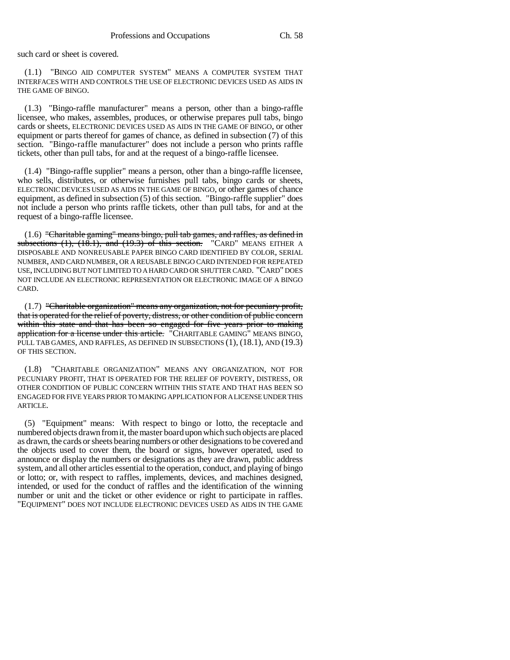such card or sheet is covered.

(1.1) "BINGO AID COMPUTER SYSTEM" MEANS A COMPUTER SYSTEM THAT INTERFACES WITH AND CONTROLS THE USE OF ELECTRONIC DEVICES USED AS AIDS IN THE GAME OF BINGO.

(1.3) "Bingo-raffle manufacturer" means a person, other than a bingo-raffle licensee, who makes, assembles, produces, or otherwise prepares pull tabs, bingo cards or sheets, ELECTRONIC DEVICES USED AS AIDS IN THE GAME OF BINGO, or other equipment or parts thereof for games of chance, as defined in subsection (7) of this section. "Bingo-raffle manufacturer" does not include a person who prints raffle tickets, other than pull tabs, for and at the request of a bingo-raffle licensee.

(1.4) "Bingo-raffle supplier" means a person, other than a bingo-raffle licensee, who sells, distributes, or otherwise furnishes pull tabs, bingo cards or sheets, ELECTRONIC DEVICES USED AS AIDS IN THE GAME OF BINGO, or other games of chance equipment, as defined in subsection (5) of this section. "Bingo-raffle supplier" does not include a person who prints raffle tickets, other than pull tabs, for and at the request of a bingo-raffle licensee.

(1.6) "Charitable gaming" means bingo, pull tab games, and raffles, as defined in subsections (1), (18.1), and (19.3) of this section. "CARD" MEANS EITHER A DISPOSABLE AND NONREUSABLE PAPER BINGO CARD IDENTIFIED BY COLOR, SERIAL NUMBER, AND CARD NUMBER, OR A REUSABLE BINGO CARD INTENDED FOR REPEATED USE, INCLUDING BUT NOT LIMITED TO A HARD CARD OR SHUTTER CARD. "CARD" DOES NOT INCLUDE AN ELECTRONIC REPRESENTATION OR ELECTRONIC IMAGE OF A BINGO CARD.

(1.7) "Charitable organization" means any organization, not for pecuniary profit, that is operated for the relief of poverty, distress, or other condition of public concern within this state and that has been so engaged for five years prior to making application for a license under this article. "CHARITABLE GAMING" MEANS BINGO, PULL TAB GAMES, AND RAFFLES, AS DEFINED IN SUBSECTIONS (1), (18.1), AND (19.3) OF THIS SECTION.

(1.8) "CHARITABLE ORGANIZATION" MEANS ANY ORGANIZATION, NOT FOR PECUNIARY PROFIT, THAT IS OPERATED FOR THE RELIEF OF POVERTY, DISTRESS, OR OTHER CONDITION OF PUBLIC CONCERN WITHIN THIS STATE AND THAT HAS BEEN SO ENGAGED FOR FIVE YEARS PRIOR TO MAKING APPLICATION FOR A LICENSE UNDER THIS ARTICLE.

(5) "Equipment" means: With respect to bingo or lotto, the receptacle and numbered objects drawn from it, the master board upon which such objects are placed as drawn, the cards or sheets bearing numbers or other designations to be covered and the objects used to cover them, the board or signs, however operated, used to announce or display the numbers or designations as they are drawn, public address system, and all other articles essential to the operation, conduct, and playing of bingo or lotto; or, with respect to raffles, implements, devices, and machines designed, intended, or used for the conduct of raffles and the identification of the winning number or unit and the ticket or other evidence or right to participate in raffles. "EQUIPMENT" DOES NOT INCLUDE ELECTRONIC DEVICES USED AS AIDS IN THE GAME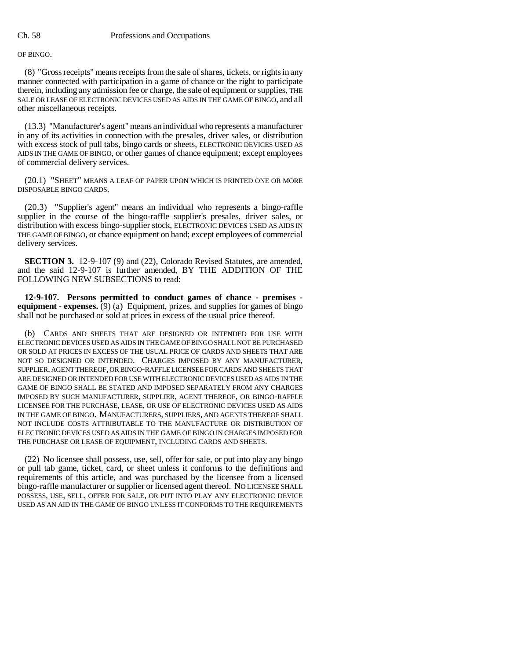OF BINGO.

(8) "Gross receipts" means receipts from the sale of shares, tickets, or rights in any manner connected with participation in a game of chance or the right to participate therein, including any admission fee or charge, the sale of equipment or supplies, THE SALE OR LEASE OF ELECTRONIC DEVICES USED AS AIDS IN THE GAME OF BINGO, and all other miscellaneous receipts.

(13.3) "Manufacturer's agent" means an individual who represents a manufacturer in any of its activities in connection with the presales, driver sales, or distribution with excess stock of pull tabs, bingo cards or sheets, ELECTRONIC DEVICES USED AS AIDS IN THE GAME OF BINGO, or other games of chance equipment; except employees of commercial delivery services.

(20.1) "SHEET" MEANS A LEAF OF PAPER UPON WHICH IS PRINTED ONE OR MORE DISPOSABLE BINGO CARDS.

(20.3) "Supplier's agent" means an individual who represents a bingo-raffle supplier in the course of the bingo-raffle supplier's presales, driver sales, or distribution with excess bingo-supplier stock, ELECTRONIC DEVICES USED AS AIDS IN THE GAME OF BINGO, or chance equipment on hand; except employees of commercial delivery services.

**SECTION 3.** 12-9-107 (9) and (22), Colorado Revised Statutes, are amended, and the said 12-9-107 is further amended, BY THE ADDITION OF THE FOLLOWING NEW SUBSECTIONS to read:

**12-9-107. Persons permitted to conduct games of chance - premises equipment - expenses.** (9) (a) Equipment, prizes, and supplies for games of bingo shall not be purchased or sold at prices in excess of the usual price thereof.

(b) CARDS AND SHEETS THAT ARE DESIGNED OR INTENDED FOR USE WITH ELECTRONIC DEVICES USED AS AIDS IN THE GAME OF BINGO SHALL NOT BE PURCHASED OR SOLD AT PRICES IN EXCESS OF THE USUAL PRICE OF CARDS AND SHEETS THAT ARE NOT SO DESIGNED OR INTENDED. CHARGES IMPOSED BY ANY MANUFACTURER, SUPPLIER, AGENT THEREOF, OR BINGO-RAFFLE LICENSEE FOR CARDS AND SHEETS THAT ARE DESIGNED OR INTENDED FOR USE WITH ELECTRONIC DEVICES USED AS AIDS IN THE GAME OF BINGO SHALL BE STATED AND IMPOSED SEPARATELY FROM ANY CHARGES IMPOSED BY SUCH MANUFACTURER, SUPPLIER, AGENT THEREOF, OR BINGO-RAFFLE LICENSEE FOR THE PURCHASE, LEASE, OR USE OF ELECTRONIC DEVICES USED AS AIDS IN THE GAME OF BINGO. MANUFACTURERS, SUPPLIERS, AND AGENTS THEREOF SHALL NOT INCLUDE COSTS ATTRIBUTABLE TO THE MANUFACTURE OR DISTRIBUTION OF ELECTRONIC DEVICES USED AS AIDS IN THE GAME OF BINGO IN CHARGES IMPOSED FOR THE PURCHASE OR LEASE OF EQUIPMENT, INCLUDING CARDS AND SHEETS.

(22) No licensee shall possess, use, sell, offer for sale, or put into play any bingo or pull tab game, ticket, card, or sheet unless it conforms to the definitions and requirements of this article, and was purchased by the licensee from a licensed bingo-raffle manufacturer or supplier or licensed agent thereof. NO LICENSEE SHALL POSSESS, USE, SELL, OFFER FOR SALE, OR PUT INTO PLAY ANY ELECTRONIC DEVICE USED AS AN AID IN THE GAME OF BINGO UNLESS IT CONFORMS TO THE REQUIREMENTS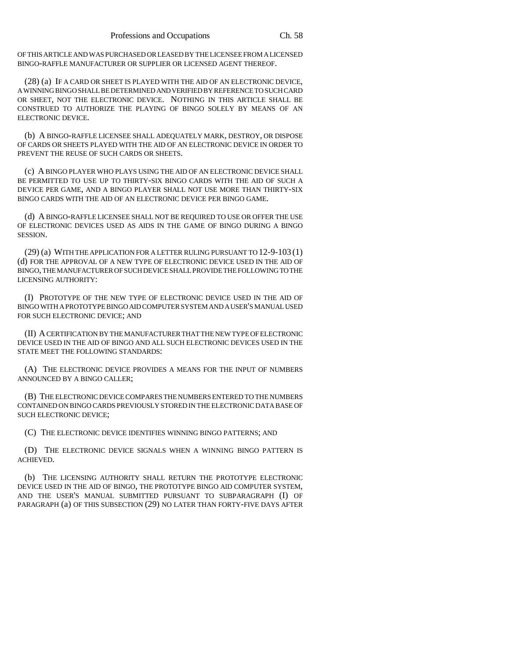OF THIS ARTICLE AND WAS PURCHASED OR LEASED BY THE LICENSEE FROM A LICENSED BINGO-RAFFLE MANUFACTURER OR SUPPLIER OR LICENSED AGENT THEREOF.

(28) (a) IF A CARD OR SHEET IS PLAYED WITH THE AID OF AN ELECTRONIC DEVICE, A WINNING BINGO SHALL BE DETERMINED AND VERIFIED BY REFERENCE TO SUCH CARD OR SHEET, NOT THE ELECTRONIC DEVICE. NOTHING IN THIS ARTICLE SHALL BE CONSTRUED TO AUTHORIZE THE PLAYING OF BINGO SOLELY BY MEANS OF AN ELECTRONIC DEVICE.

(b) A BINGO-RAFFLE LICENSEE SHALL ADEQUATELY MARK, DESTROY, OR DISPOSE OF CARDS OR SHEETS PLAYED WITH THE AID OF AN ELECTRONIC DEVICE IN ORDER TO PREVENT THE REUSE OF SUCH CARDS OR SHEETS.

(c) A BINGO PLAYER WHO PLAYS USING THE AID OF AN ELECTRONIC DEVICE SHALL BE PERMITTED TO USE UP TO THIRTY-SIX BINGO CARDS WITH THE AID OF SUCH A DEVICE PER GAME, AND A BINGO PLAYER SHALL NOT USE MORE THAN THIRTY-SIX BINGO CARDS WITH THE AID OF AN ELECTRONIC DEVICE PER BINGO GAME.

(d) A BINGO-RAFFLE LICENSEE SHALL NOT BE REQUIRED TO USE OR OFFER THE USE OF ELECTRONIC DEVICES USED AS AIDS IN THE GAME OF BINGO DURING A BINGO SESSION.

(29) (a) WITH THE APPLICATION FOR A LETTER RULING PURSUANT TO 12-9-103 (1) (d) FOR THE APPROVAL OF A NEW TYPE OF ELECTRONIC DEVICE USED IN THE AID OF BINGO, THE MANUFACTURER OF SUCH DEVICE SHALL PROVIDE THE FOLLOWING TO THE LICENSING AUTHORITY:

(I) PROTOTYPE OF THE NEW TYPE OF ELECTRONIC DEVICE USED IN THE AID OF BINGO WITH A PROTOTYPE BINGO AID COMPUTER SYSTEM AND A USER'S MANUAL USED FOR SUCH ELECTRONIC DEVICE; AND

(II) A CERTIFICATION BY THE MANUFACTURER THAT THE NEW TYPE OF ELECTRONIC DEVICE USED IN THE AID OF BINGO AND ALL SUCH ELECTRONIC DEVICES USED IN THE STATE MEET THE FOLLOWING STANDARDS:

(A) THE ELECTRONIC DEVICE PROVIDES A MEANS FOR THE INPUT OF NUMBERS ANNOUNCED BY A BINGO CALLER;

(B) THE ELECTRONIC DEVICE COMPARES THE NUMBERS ENTERED TO THE NUMBERS CONTAINED ON BINGO CARDS PREVIOUSLY STORED IN THE ELECTRONIC DATA BASE OF SUCH ELECTRONIC DEVICE;

(C) THE ELECTRONIC DEVICE IDENTIFIES WINNING BINGO PATTERNS; AND

(D) THE ELECTRONIC DEVICE SIGNALS WHEN A WINNING BINGO PATTERN IS ACHIEVED.

(b) THE LICENSING AUTHORITY SHALL RETURN THE PROTOTYPE ELECTRONIC DEVICE USED IN THE AID OF BINGO, THE PROTOTYPE BINGO AID COMPUTER SYSTEM, AND THE USER'S MANUAL SUBMITTED PURSUANT TO SUBPARAGRAPH (I) OF PARAGRAPH (a) OF THIS SUBSECTION (29) NO LATER THAN FORTY-FIVE DAYS AFTER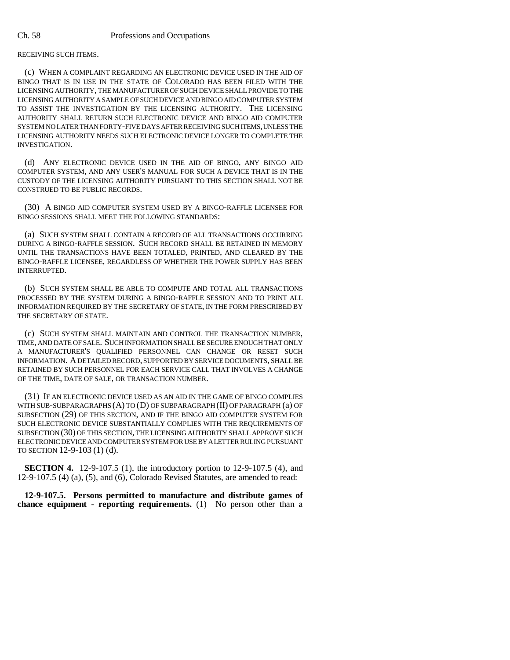RECEIVING SUCH ITEMS.

(c) WHEN A COMPLAINT REGARDING AN ELECTRONIC DEVICE USED IN THE AID OF BINGO THAT IS IN USE IN THE STATE OF COLORADO HAS BEEN FILED WITH THE LICENSING AUTHORITY, THE MANUFACTURER OF SUCH DEVICE SHALL PROVIDE TO THE LICENSING AUTHORITY A SAMPLE OF SUCH DEVICE AND BINGO AID COMPUTER SYSTEM TO ASSIST THE INVESTIGATION BY THE LICENSING AUTHORITY. THE LICENSING AUTHORITY SHALL RETURN SUCH ELECTRONIC DEVICE AND BINGO AID COMPUTER SYSTEM NO LATER THAN FORTY-FIVE DAYS AFTER RECEIVING SUCH ITEMS, UNLESS THE LICENSING AUTHORITY NEEDS SUCH ELECTRONIC DEVICE LONGER TO COMPLETE THE INVESTIGATION.

(d) ANY ELECTRONIC DEVICE USED IN THE AID OF BINGO, ANY BINGO AID COMPUTER SYSTEM, AND ANY USER'S MANUAL FOR SUCH A DEVICE THAT IS IN THE CUSTODY OF THE LICENSING AUTHORITY PURSUANT TO THIS SECTION SHALL NOT BE CONSTRUED TO BE PUBLIC RECORDS.

(30) A BINGO AID COMPUTER SYSTEM USED BY A BINGO-RAFFLE LICENSEE FOR BINGO SESSIONS SHALL MEET THE FOLLOWING STANDARDS:

(a) SUCH SYSTEM SHALL CONTAIN A RECORD OF ALL TRANSACTIONS OCCURRING DURING A BINGO-RAFFLE SESSION. SUCH RECORD SHALL BE RETAINED IN MEMORY UNTIL THE TRANSACTIONS HAVE BEEN TOTALED, PRINTED, AND CLEARED BY THE BINGO-RAFFLE LICENSEE, REGARDLESS OF WHETHER THE POWER SUPPLY HAS BEEN INTERRUPTED.

(b) SUCH SYSTEM SHALL BE ABLE TO COMPUTE AND TOTAL ALL TRANSACTIONS PROCESSED BY THE SYSTEM DURING A BINGO-RAFFLE SESSION AND TO PRINT ALL INFORMATION REQUIRED BY THE SECRETARY OF STATE, IN THE FORM PRESCRIBED BY THE SECRETARY OF STATE.

(c) SUCH SYSTEM SHALL MAINTAIN AND CONTROL THE TRANSACTION NUMBER, TIME, AND DATE OF SALE. SUCH INFORMATION SHALL BE SECURE ENOUGH THAT ONLY A MANUFACTURER'S QUALIFIED PERSONNEL CAN CHANGE OR RESET SUCH INFORMATION. A DETAILED RECORD, SUPPORTED BY SERVICE DOCUMENTS, SHALL BE RETAINED BY SUCH PERSONNEL FOR EACH SERVICE CALL THAT INVOLVES A CHANGE OF THE TIME, DATE OF SALE, OR TRANSACTION NUMBER.

(31) IF AN ELECTRONIC DEVICE USED AS AN AID IN THE GAME OF BINGO COMPLIES WITH SUB-SUBPARAGRAPHS (A) TO (D) OF SUBPARAGRAPH (II) OF PARAGRAPH (a) OF SUBSECTION (29) OF THIS SECTION, AND IF THE BINGO AID COMPUTER SYSTEM FOR SUCH ELECTRONIC DEVICE SUBSTANTIALLY COMPLIES WITH THE REQUIREMENTS OF SUBSECTION (30) OF THIS SECTION, THE LICENSING AUTHORITY SHALL APPROVE SUCH ELECTRONIC DEVICE AND COMPUTER SYSTEM FOR USE BY A LETTER RULING PURSUANT TO SECTION 12-9-103 (1) (d).

**SECTION 4.** 12-9-107.5 (1), the introductory portion to 12-9-107.5 (4), and 12-9-107.5 (4) (a), (5), and (6), Colorado Revised Statutes, are amended to read:

**12-9-107.5. Persons permitted to manufacture and distribute games of chance equipment - reporting requirements.** (1) No person other than a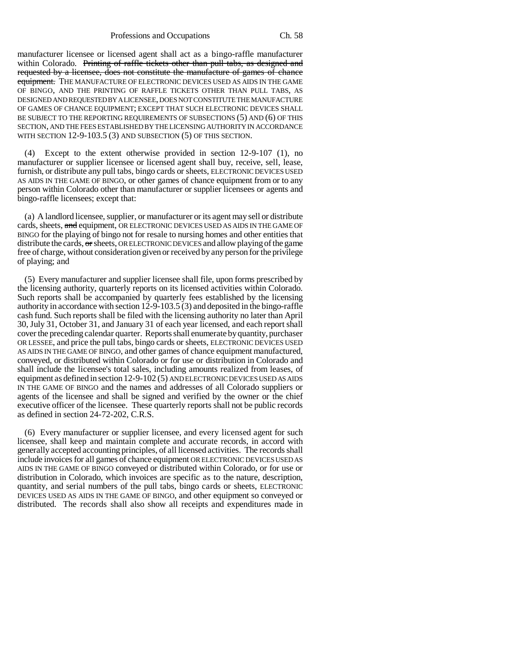## Professions and Occupations Ch. 58

manufacturer licensee or licensed agent shall act as a bingo-raffle manufacturer within Colorado. Printing of raffle tickets other than pull tabs, as designed and requested by a licensee, does not constitute the manufacture of games of chance equipment. THE MANUFACTURE OF ELECTRONIC DEVICES USED AS AIDS IN THE GAME OF BINGO, AND THE PRINTING OF RAFFLE TICKETS OTHER THAN PULL TABS, AS DESIGNED AND REQUESTED BY A LICENSEE, DOES NOT CONSTITUTE THE MANUFACTURE OF GAMES OF CHANCE EQUIPMENT; EXCEPT THAT SUCH ELECTRONIC DEVICES SHALL BE SUBJECT TO THE REPORTING REQUIREMENTS OF SUBSECTIONS (5) AND (6) OF THIS SECTION, AND THE FEES ESTABLISHED BY THE LICENSING AUTHORITY IN ACCORDANCE WITH SECTION 12-9-103.5 (3) AND SUBSECTION (5) OF THIS SECTION.

Except to the extent otherwise provided in section  $12-9-107$  (1), no manufacturer or supplier licensee or licensed agent shall buy, receive, sell, lease, furnish, or distribute any pull tabs, bingo cards or sheets, ELECTRONIC DEVICES USED AS AIDS IN THE GAME OF BINGO, or other games of chance equipment from or to any person within Colorado other than manufacturer or supplier licensees or agents and bingo-raffle licensees; except that:

(a) A landlord licensee, supplier, or manufacturer or its agent may sell or distribute cards, sheets, and equipment, OR ELECTRONIC DEVICES USED AS AIDS IN THE GAME OF BINGO for the playing of bingo not for resale to nursing homes and other entities that distribute the cards,  $\Theta$  sheets, OR ELECTRONIC DEVICES and allow playing of the game free of charge, without consideration given or received by any person for the privilege of playing; and

(5) Every manufacturer and supplier licensee shall file, upon forms prescribed by the licensing authority, quarterly reports on its licensed activities within Colorado. Such reports shall be accompanied by quarterly fees established by the licensing authority in accordance with section  $12-9-103.5(3)$  and deposited in the bingo-raffle cash fund. Such reports shall be filed with the licensing authority no later than April 30, July 31, October 31, and January 31 of each year licensed, and each report shall cover the preceding calendar quarter. Reports shall enumerate by quantity, purchaser OR LESSEE, and price the pull tabs, bingo cards or sheets, ELECTRONIC DEVICES USED AS AIDS IN THE GAME OF BINGO, and other games of chance equipment manufactured, conveyed, or distributed within Colorado or for use or distribution in Colorado and shall include the licensee's total sales, including amounts realized from leases, of equipment as defined in section 12-9-102 (5) AND ELECTRONIC DEVICES USED AS AIDS IN THE GAME OF BINGO and the names and addresses of all Colorado suppliers or agents of the licensee and shall be signed and verified by the owner or the chief executive officer of the licensee. These quarterly reports shall not be public records as defined in section 24-72-202, C.R.S.

(6) Every manufacturer or supplier licensee, and every licensed agent for such licensee, shall keep and maintain complete and accurate records, in accord with generally accepted accounting principles, of all licensed activities. The records shall include invoices for all games of chance equipment OR ELECTRONIC DEVICES USED AS AIDS IN THE GAME OF BINGO conveyed or distributed within Colorado, or for use or distribution in Colorado, which invoices are specific as to the nature, description, quantity, and serial numbers of the pull tabs, bingo cards or sheets, ELECTRONIC DEVICES USED AS AIDS IN THE GAME OF BINGO, and other equipment so conveyed or distributed. The records shall also show all receipts and expenditures made in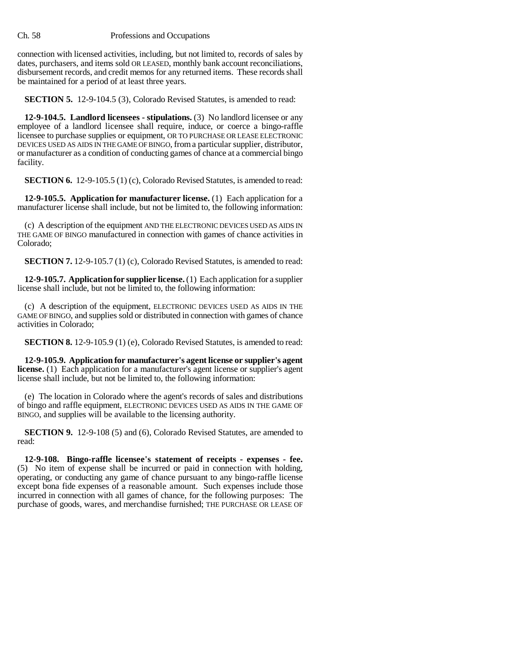## Ch. 58 Professions and Occupations

connection with licensed activities, including, but not limited to, records of sales by dates, purchasers, and items sold OR LEASED, monthly bank account reconciliations, disbursement records, and credit memos for any returned items. These records shall be maintained for a period of at least three years.

**SECTION 5.** 12-9-104.5 (3), Colorado Revised Statutes, is amended to read:

**12-9-104.5. Landlord licensees - stipulations.** (3) No landlord licensee or any employee of a landlord licensee shall require, induce, or coerce a bingo-raffle licensee to purchase supplies or equipment, OR TO PURCHASE OR LEASE ELECTRONIC DEVICES USED AS AIDS IN THE GAME OF BINGO, from a particular supplier, distributor, or manufacturer as a condition of conducting games of chance at a commercial bingo facility.

**SECTION 6.** 12-9-105.5 (1) (c), Colorado Revised Statutes, is amended to read:

**12-9-105.5. Application for manufacturer license.** (1) Each application for a manufacturer license shall include, but not be limited to, the following information:

(c) A description of the equipment AND THE ELECTRONIC DEVICES USED AS AIDS IN THE GAME OF BINGO manufactured in connection with games of chance activities in Colorado;

**SECTION 7.** 12-9-105.7 (1) (c), Colorado Revised Statutes, is amended to read:

**12-9-105.7. Application for supplier license.** (1) Each application for a supplier license shall include, but not be limited to, the following information:

(c) A description of the equipment, ELECTRONIC DEVICES USED AS AIDS IN THE GAME OF BINGO, and supplies sold or distributed in connection with games of chance activities in Colorado;

**SECTION 8.** 12-9-105.9 (1) (e), Colorado Revised Statutes, is amended to read:

**12-9-105.9. Application for manufacturer's agent license or supplier's agent license.** (1) Each application for a manufacturer's agent license or supplier's agent license shall include, but not be limited to, the following information:

(e) The location in Colorado where the agent's records of sales and distributions of bingo and raffle equipment, ELECTRONIC DEVICES USED AS AIDS IN THE GAME OF BINGO, and supplies will be available to the licensing authority.

**SECTION 9.** 12-9-108 (5) and (6), Colorado Revised Statutes, are amended to read:

**12-9-108. Bingo-raffle licensee's statement of receipts - expenses - fee.** (5) No item of expense shall be incurred or paid in connection with holding, operating, or conducting any game of chance pursuant to any bingo-raffle license except bona fide expenses of a reasonable amount. Such expenses include those incurred in connection with all games of chance, for the following purposes: The purchase of goods, wares, and merchandise furnished; THE PURCHASE OR LEASE OF